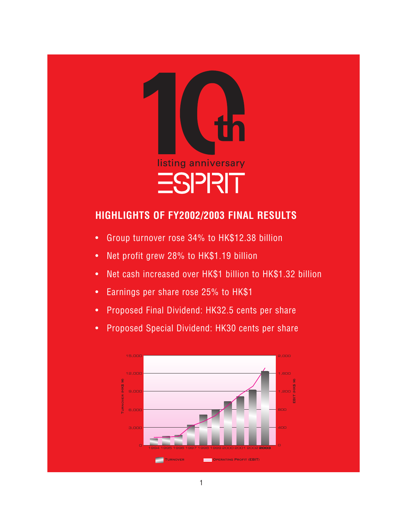

# **HIGHLIGHTS OF FY2002/2003 FINAL RESULTS**

- Group turnover rose 34% to HK\$12.38 billion
- Net profit grew 28% to HK\$1.19 billion
- Net cash increased over HK\$1 billion to HK\$1.32 billion
- Earnings per share rose 25% to HK\$1
- Proposed Final Dividend: HK32.5 cents per share
- Proposed Special Dividend: HK30 cents per share

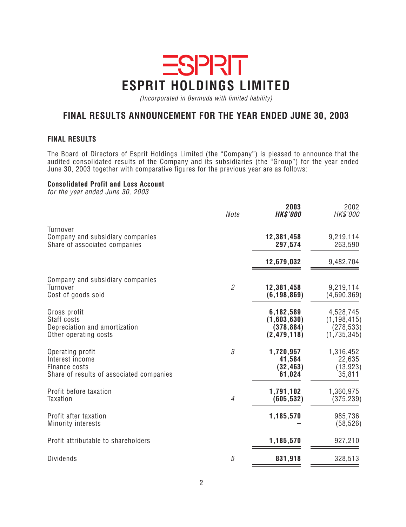# **ESPRIT ESPRIT HOLDINGS LIMITED**

(Incorporated in Bermuda with limited liability)

# **FINAL RESULTS ANNOUNCEMENT FOR THE YEAR ENDED JUNE 30, 2003**

#### **FINAL RESULTS**

The Board of Directors of Esprit Holdings Limited (the "Company") is pleased to announce that the audited consolidated results of the Company and its subsidiaries (the "Group") for the year ended June 30, 2003 together with comparative figures for the previous year are as follows:

#### **Consolidated Profit and Loss Account**

for the year ended June 30, 2003

|                                                                                                  | Note           | 2003<br><b>HK\$'000</b>                                 | 2002<br>HK\$'000                                        |
|--------------------------------------------------------------------------------------------------|----------------|---------------------------------------------------------|---------------------------------------------------------|
| <b>Turnover</b><br>Company and subsidiary companies<br>Share of associated companies             |                | 12,381,458<br>297,574                                   | 9,219,114<br>263,590                                    |
|                                                                                                  |                | 12,679,032                                              | 9,482,704                                               |
| Company and subsidiary companies<br>Turnover<br>Cost of goods sold                               | $\overline{2}$ | 12,381,458<br>(6, 198, 869)                             | 9,219,114<br>(4,690,369)                                |
| Gross profit<br>Staff costs<br>Depreciation and amortization<br>Other operating costs            |                | 6,182,589<br>(1,603,630)<br>(378, 884)<br>(2, 479, 118) | 4,528,745<br>(1, 198, 415)<br>(278, 533)<br>(1,735,345) |
| Operating profit<br>Interest income<br>Finance costs<br>Share of results of associated companies | 3              | 1,720,957<br>41,584<br>(32, 463)<br>61,024              | 1,316,452<br>22,635<br>(13, 923)<br>35,811              |
| Profit before taxation<br><b>Taxation</b>                                                        | $\overline{4}$ | 1,791,102<br>(605, 532)                                 | 1,360,975<br>(375, 239)                                 |
| Profit after taxation<br><b>Minority interests</b>                                               |                | 1,185,570                                               | 985,736<br>(58, 526)                                    |
| Profit attributable to shareholders                                                              |                | 1,185,570                                               | 927,210                                                 |
| <b>Dividends</b>                                                                                 | 5              | 831,918                                                 | 328,513                                                 |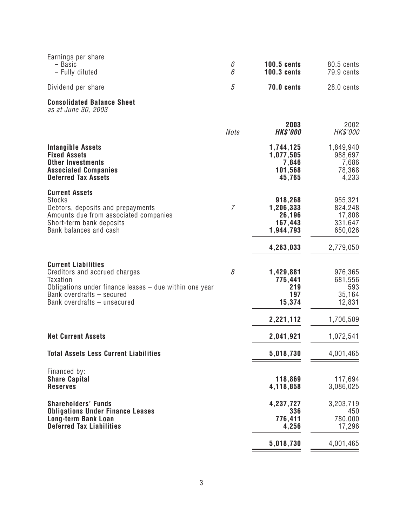| Earnings per share<br>- Basic<br>- Fully diluted                                                                                                                                                       | 6<br>6 | <b>100.5 cents</b><br><b>100.3 cents</b>               | 80.5 cents<br>79.9 cents                           |
|--------------------------------------------------------------------------------------------------------------------------------------------------------------------------------------------------------|--------|--------------------------------------------------------|----------------------------------------------------|
| Dividend per share                                                                                                                                                                                     | 5      | <b>70.0 cents</b>                                      | 28.0 cents                                         |
| <b>Consolidated Balance Sheet</b><br>as at June 30, 2003                                                                                                                                               |        |                                                        |                                                    |
|                                                                                                                                                                                                        | Note   | 2003<br><b>HK\$'000</b>                                | 2002<br>HK\$'000                                   |
| <b>Intangible Assets</b><br><b>Fixed Assets</b><br><b>Other Investments</b><br><b>Associated Companies</b><br><b>Deferred Tax Assets</b>                                                               |        | 1,744,125<br>1,077,505<br>7,846<br>101,568<br>45,765   | 1,849,940<br>988,697<br>7,686<br>78,368<br>4,233   |
| <b>Current Assets</b><br><b>Stocks</b><br>Debtors, deposits and prepayments<br>Amounts due from associated companies<br>Short-term bank deposits<br>Bank balances and cash                             | 7      | 918,268<br>1,206,333<br>26,196<br>167,443<br>1,944,793 | 955,321<br>824,248<br>17,808<br>331,647<br>650,026 |
|                                                                                                                                                                                                        |        | 4,263,033                                              | 2,779,050                                          |
| <b>Current Liabilities</b><br>Creditors and accrued charges<br><b>Taxation</b><br>Obligations under finance leases $-$ due within one year<br>Bank overdrafts - secured<br>Bank overdrafts - unsecured | 8      | 1,429,881<br>775,441<br>219<br>197<br>15,374           | 976,365<br>681,556<br>593<br>35,164<br>12,831      |
|                                                                                                                                                                                                        |        | 2,221,112                                              | 1,706,509                                          |
| <b>Net Current Assets</b>                                                                                                                                                                              |        | 2,041,921                                              | 1,072,541                                          |
| <b>Total Assets Less Current Liabilities</b>                                                                                                                                                           |        | 5,018,730                                              | 4,001,465                                          |
| Financed by:<br><b>Share Capital</b><br><b>Reserves</b>                                                                                                                                                |        | 118,869<br>4,118,858                                   | 117,694<br>3,086,025                               |
| <b>Shareholders' Funds</b><br><b>Obligations Under Finance Leases</b><br><b>Long-term Bank Loan</b>                                                                                                    |        | 4,237,727<br>336<br>776,411                            | 3,203,719<br>450<br>780,000                        |
| <b>Deferred Tax Liabilities</b>                                                                                                                                                                        |        | 4,256<br>5,018,730                                     | 17,296<br>4,001,465                                |

⋍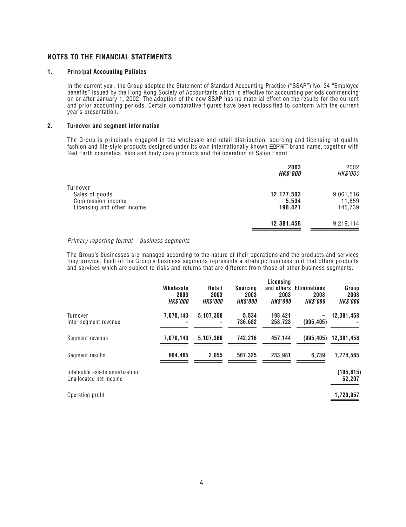#### **NOTES TO THE FINANCIAL STATEMENTS**

#### **1. Principal Accounting Policies**

In the current year, the Group adopted the Statement of Standard Accounting Practice ("SSAP") No. 34 "Employee benefits" issued by the Hong Kong Society of Accountants which is effective for accounting periods commencing on or after January 1, 2002. The adoption of the new SSAP has no material effect on the results for the current and prior accounting periods. Certain comparative figures have been reclassified to conform with the current year's presentation.

#### **2. Turnover and segment information**

The Group is principally engaged in the wholesale and retail distribution, sourcing and licensing of quality fashion and life-style products designed under its own internationally known  $\equiv$ SPRIT brand name, together with Red Earth cosmetics, skin and body care products and the operation of Salon Esprit.

|                                                                               | 2003<br><b>HK\$'000</b>        | 2002<br>HK\$'000               |
|-------------------------------------------------------------------------------|--------------------------------|--------------------------------|
| Turnover<br>Sales of goods<br>Commission income<br>Licensing and other income | 12,177,503<br>5,534<br>198,421 | 9,061,516<br>11,859<br>145,739 |
|                                                                               | 12,381,458                     | 9,219,114                      |

#### Primary reporting format – business segments

The Group's businesses are managed according to the nature of their operations and the products and services they provide. Each of the Group's business segments represents a strategic business unit that offers products and services which are subject to risks and returns that are different from those of other business segments.

|                                                          | Wholesale<br>2003<br><b>HK\$'000</b> | Retail<br>2003<br><b>HK\$'000</b> | Sourcina<br>2003<br><b>HK\$'000</b> | Licensing<br>and others<br>2003<br><b>HK\$'000</b> | <b>Eliminations</b><br>2003<br><b>HK\$'000</b> | Group<br>2003<br><b>HK\$'000</b> |
|----------------------------------------------------------|--------------------------------------|-----------------------------------|-------------------------------------|----------------------------------------------------|------------------------------------------------|----------------------------------|
| Turnover<br>Inter-segment revenue                        | 7,070,143                            | 5,107,360                         | 5,534<br>736,682                    | 198,421<br>258,723                                 | (995, 405)                                     | 12,381,458                       |
| Segment revenue                                          | 7,070,143                            | 5,107,360                         | 742,216                             | 457,144                                            | (995, 405)                                     | 12,381,458                       |
| Segment results                                          | 964,465                              | 2,055                             | 567,325                             | 233,981                                            | 6,739                                          | 1,774,565                        |
| Intangible assets amortization<br>Unallocated net income |                                      |                                   |                                     |                                                    |                                                | (105, 815)<br>52,207             |

Operating profit **1,720,957**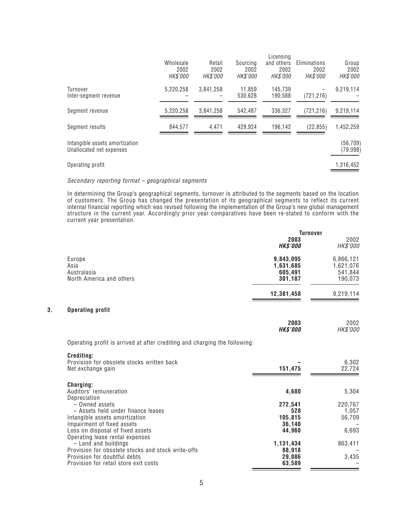|                                                            | Licensina                     |                                   |                                     |                                |                                         |                           |
|------------------------------------------------------------|-------------------------------|-----------------------------------|-------------------------------------|--------------------------------|-----------------------------------------|---------------------------|
|                                                            | Wholesale<br>2002<br>HK\$'000 | Retail<br>2002<br><i>HK\$'000</i> | Sourcing<br>2002<br><i>HK\$'000</i> | and others<br>2002<br>HK\$'000 | Eliminations<br>2002<br><i>HK\$'000</i> | Group<br>2002<br>HK\$'000 |
| Turnover<br>Inter-segment revenue                          | 5,220,258                     | 3,841,258                         | 11,859<br>530,628                   | 145,739<br>190,588             | (721, 216)                              | 9,219,114                 |
| Segment revenue                                            | 5,220,258                     | 3,841,258                         | 542,487                             | 336,327                        | (721, 216)                              | 9,219,114                 |
| Segment results                                            | 844,577                       | 4,471                             | 429,924                             | 196,142                        | (22, 855)                               | 1,452,259                 |
| Intangible assets amortization<br>Unallocated net expenses |                               |                                   |                                     |                                |                                         | (56, 709)<br>(79, 098)    |
| Operating profit                                           |                               |                                   |                                     |                                |                                         | 1,316,452                 |

#### Secondary reporting format – geographical segments

In determining the Group's geographical segments, turnover is attributed to the segments based on the location of customers. The Group has changed the presentation of its geographical segments to reflect its current internal financial reporting which was revised following the implementation of the Group's new global management structure in the current year. Accordingly prior year comparatives have been re-stated to conform with the current year presentation.

|    |                                                                                                                                                          | <b>Turnover</b>                               |                                              |  |
|----|----------------------------------------------------------------------------------------------------------------------------------------------------------|-----------------------------------------------|----------------------------------------------|--|
|    |                                                                                                                                                          | 2003<br><b>HK\$'000</b>                       | 2002<br>HK\$'000                             |  |
|    | Europe<br>Asia<br>Australasia<br>North America and others                                                                                                | 9,843,095<br>1,631,685<br>605,491<br>301,187  | 6,866,121<br>1,621,076<br>541,844<br>190,073 |  |
|    |                                                                                                                                                          | 12,381,458                                    | 9,219,114                                    |  |
| 3. | <b>Operating profit</b>                                                                                                                                  |                                               |                                              |  |
|    |                                                                                                                                                          | 2003<br><b>HK\$'000</b>                       | 2002<br>HK\$'000                             |  |
|    | Operating profit is arrived at after crediting and charging the following:                                                                               |                                               |                                              |  |
|    | Crediting:<br>Provision for obsolete stocks written back<br>Net exchange gain                                                                            | 151,475                                       | 6,302<br>22,724                              |  |
|    | Charging:<br>Auditors' remuneration<br>Depreciation                                                                                                      | 4,680                                         | 5,304                                        |  |
|    | - Owned assets<br>- Assets held under finance leases<br>Intangible assets amortization<br>Impairment of fixed assets<br>Loss on disposal of fixed assets | 272,541<br>528<br>105,815<br>36,140<br>44,960 | 220,767<br>1,057<br>56,709<br>6,693          |  |
|    | Operating lease rental expenses<br>$-$ Land and buildings<br>Provision for obsolete stocks and stock write-offs<br>Provision for doubtful debts          | 1,131,434<br>88,918<br>29,086                 | 863,411<br>3,435                             |  |
|    | Provision for retail store exit costs                                                                                                                    | 63,589                                        |                                              |  |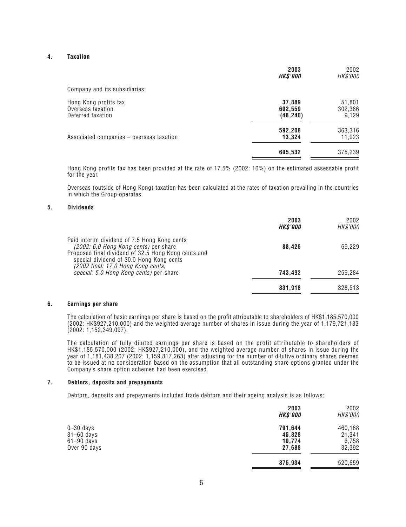#### **4. Taxation**

|                                                                 | 2003<br><b>HK\$'000</b>        | 2002<br>HK\$'000           |
|-----------------------------------------------------------------|--------------------------------|----------------------------|
| Company and its subsidiaries:                                   |                                |                            |
| Hong Kong profits tax<br>Overseas taxation<br>Deferred taxation | 37,889<br>602,559<br>(48, 240) | 51,801<br>302,386<br>9,129 |
| Associated companies - overseas taxation                        | 592,208<br>13,324              | 363,316<br>11,923          |
|                                                                 | 605,532                        | 375,239                    |

Hong Kong profits tax has been provided at the rate of 17.5% (2002: 16%) on the estimated assessable profit for the year.

Overseas (outside of Hong Kong) taxation has been calculated at the rates of taxation prevailing in the countries in which the Group operates.

#### **5. Dividends**

|                                                                                                                                                                                          | 2003<br><b>HK\$'000</b> | 2002<br>HK\$'000 |
|------------------------------------------------------------------------------------------------------------------------------------------------------------------------------------------|-------------------------|------------------|
| Paid interim dividend of 7.5 Hong Kong cents<br>(2002: 6.0 Hong Kong cents) per share<br>Proposed final dividend of 32.5 Hong Kong cents and<br>special dividend of 30.0 Hong Kong cents | 88.426                  | 69,229           |
| (2002 final: 17.0 Hong Kong cents,<br>special: 5.0 Hong Kong cents) per share                                                                                                            | 743.492                 | 259,284          |
|                                                                                                                                                                                          | 831,918                 | 328,513          |

#### **6. Earnings per share**

The calculation of basic earnings per share is based on the profit attributable to shareholders of HK\$1,185,570,000 (2002: HK\$927,210,000) and the weighted average number of shares in issue during the year of 1,179,721,133 (2002: 1,152,349,097).

The calculation of fully diluted earnings per share is based on the profit attributable to shareholders of HK\$1,185,570,000 (2002: HK\$927,210,000), and the weighted average number of shares in issue during the year of 1,181,438,207 (2002: 1,159,817,263) after adjusting for the number of dilutive ordinary shares deemed to be issued at no consideration based on the assumption that all outstanding share options granted under the Company's share option schemes had been exercised.

#### **7. Debtors, deposits and prepayments**

Debtors, deposits and prepayments included trade debtors and their ageing analysis is as follows:

|                                                           | 2003<br><b>HK\$'000</b>               | 2002<br>HK\$'000                     |
|-----------------------------------------------------------|---------------------------------------|--------------------------------------|
| $0 - 30$ days<br>31-60 days<br>61-90 days<br>Over 90 days | 791,644<br>45,828<br>10,774<br>27,688 | 460,168<br>21,341<br>6,758<br>32,392 |
|                                                           | 875,934                               | 520,659                              |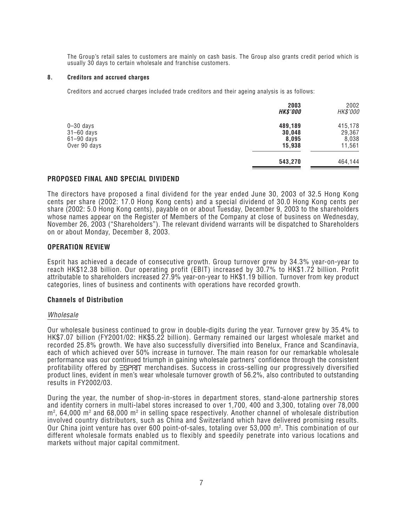The Group's retail sales to customers are mainly on cash basis. The Group also grants credit period which is usually 30 days to certain wholesale and franchise customers.

#### **8. Creditors and accrued charges**

Creditors and accrued charges included trade creditors and their ageing analysis is as follows:

|                                                                 | 2003<br><b>HK\$'000</b>              | 2002<br>HK\$'000                     |
|-----------------------------------------------------------------|--------------------------------------|--------------------------------------|
| $0 - 30$ days<br>$31 - 60$ days<br>$61-90$ days<br>Over 90 days | 489,189<br>30,048<br>8,095<br>15,938 | 415,178<br>29,367<br>8,038<br>11,561 |
|                                                                 | 543,270                              | 464,144                              |

#### **PROPOSED FINAL AND SPECIAL DIVIDEND**

The directors have proposed a final dividend for the year ended June 30, 2003 of 32.5 Hong Kong cents per share (2002: 17.0 Hong Kong cents) and a special dividend of 30.0 Hong Kong cents per share (2002: 5.0 Hong Kong cents), payable on or about Tuesday, December 9, 2003 to the shareholders whose names appear on the Register of Members of the Company at close of business on Wednesday, November 26, 2003 ("Shareholders"). The relevant dividend warrants will be dispatched to Shareholders on or about Monday, December 8, 2003.

#### **OPERATION REVIEW**

Esprit has achieved a decade of consecutive growth. Group turnover grew by 34.3% year-on-year to reach HK\$12.38 billion. Our operating profit (EBIT) increased by 30.7% to HK\$1.72 billion. Profit attributable to shareholders increased 27.9% year-on-year to HK\$1.19 billion. Turnover from key product categories, lines of business and continents with operations have recorded growth.

#### **Channels of Distribution**

#### Wholesale

Our wholesale business continued to grow in double-digits during the year. Turnover grew by 35.4% to HK\$7.07 billion (FY2001/02: HK\$5.22 billion). Germany remained our largest wholesale market and recorded 25.8% growth. We have also successfully diversified into Benelux, France and Scandinavia, each of which achieved over 50% increase in turnover. The main reason for our remarkable wholesale performance was our continued triumph in gaining wholesale partners' confidence through the consistent  $p$ rofitability offered by  $\equiv$ SPR $\sqcap$  merchandises. Success in cross-selling our progressively diversified product lines, evident in men's wear wholesale turnover growth of 56.2%, also contributed to outstanding results in FY2002/03.

During the year, the number of shop-in-stores in department stores, stand-alone partnership stores and identity corners in multi-label stores increased to over 1,700, 400 and 3,300, totaling over 78,000  $\mathsf{m}^2$ , 64,000  $\mathsf{m}^2$  and 68,000  $\mathsf{m}^2$  in selling space respectively. Another channel of wholesale distribution involved country distributors, such as China and Switzerland which have delivered promising results. Our China joint venture has over 600 point-of-sales, totaling over 53,000 m². This combination of our different wholesale formats enabled us to flexibly and speedily penetrate into various locations and markets without major capital commitment.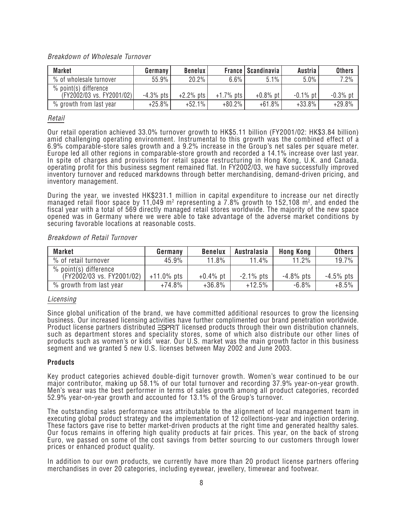# Breakdown of Wholesale Turnover

| <b>Market</b>                                        | Germany      | <b>Benelux</b> |              | <b>France   Scandinavia</b> | Austria     | <b>Others</b> |
|------------------------------------------------------|--------------|----------------|--------------|-----------------------------|-------------|---------------|
| % of wholesale turnover                              | 55.9%        | 20.2%          | $6.6\%$      | 5.1%                        | $5.0\%$     | 7.2%          |
| $%$ point(s) difference<br>(FY2002/03 vs. FY2001/02) | $-4.3\%$ pts | $+2.2\%$ pts   | $+1.7\%$ pts | $+0.8\%$ pt                 | $-0.1\%$ pt | $-0.3\%$ pt   |
| % growth from last year                              | $+25.8%$     | $+52.1%$       | $+80.2%$     | $+61.8%$                    | $+33.8%$    | $+29.8%$      |

## Retail

Our retail operation achieved 33.0% turnover growth to HK\$5.11 billion (FY2001/02: HK\$3.84 billion) amid challenging operating environment. Instrumental to this growth was the combined effect of a 6.9% comparable-store sales growth and a 9.2% increase in the Group's net sales per square meter. Europe led all other regions in comparable-store growth and recorded a 14.1% increase over last year. In spite of charges and provisions for retail space restructuring in Hong Kong, U.K. and Canada, operating profit for this business segment remained flat. In FY2002/03, we have successfully improved inventory turnover and reduced markdowns through better merchandising, demand-driven pricing, and inventory management.

During the year, we invested HK\$231.1 million in capital expenditure to increase our net directly managed retail floor space by 11,049 m<sup>2</sup> representing a 7.8% growth to 152,108 m<sup>2</sup>, and ended the fiscal year with a total of 569 directly managed retail stores worldwide. The majority of the new space opened was in Germany where we were able to take advantage of the adverse market conditions by securing favorable locations at reasonable costs.

Breakdown of Retail Turnover

| <b>Market</b>                                        | Germany       | <b>Benelux</b> | Australasia  | <b>Hong Kong</b> | <b>Others</b> |
|------------------------------------------------------|---------------|----------------|--------------|------------------|---------------|
| % of retail turnover                                 | 45.9%         | 11.8%          | 11.4%        | 11.2%            | 19.7%         |
| $%$ point(s) difference<br>(FY2002/03 vs. FY2001/02) | $+11.0\%$ pts | $+0.4\%$ pt    | $-2.1\%$ pts | $-4.8\%$ pts     | $-4.5\%$ pts  |
| % growth from last year                              | +74.8%        | $+36.8%$       | $+12.5%$     | $-6.8%$          | $+8.5%$       |

## Licensing

Since global unification of the brand, we have committed additional resources to grow the licensing business. Our increased licensing activities have further complimented our brand penetration worldwide. Product license partners distributed  $\equiv$ SPRIT licensed products through their own distribution channels, such as department stores and speciality stores, some of which also distribute our other lines of products such as women's or kids' wear. Our U.S. market was the main growth factor in this business segment and we granted 5 new U.S. licenses between May 2002 and June 2003.

## **Products**

Key product categories achieved double-digit turnover growth. Women's wear continued to be our major contributor, making up 58.1% of our total turnover and recording 37.9% year-on-year growth. Men's wear was the best performer in terms of sales growth among all product categories, recorded 52.9% year-on-year growth and accounted for 13.1% of the Group's turnover.

The outstanding sales performance was attributable to the alignment of local management team in executing global product strategy and the implementation of 12 collections-year and injection ordering. These factors gave rise to better market-driven products at the right time and generated healthy sales. Our focus remains in offering high quality products at fair prices. This year, on the back of strong Euro, we passed on some of the cost savings from better sourcing to our customers through lower prices or enhanced product quality.

In addition to our own products, we currently have more than 20 product license partners offering merchandises in over 20 categories, including eyewear, jewellery, timewear and footwear.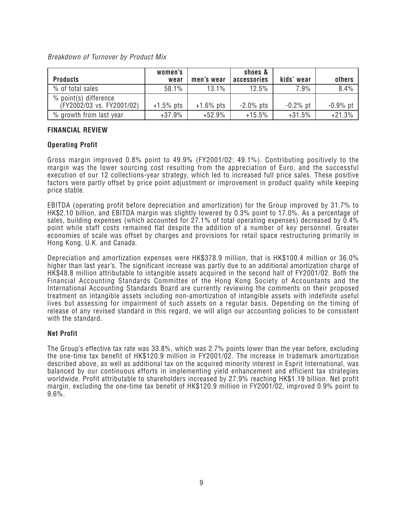# Breakdown of Turnover by Product Mix

| <b>Products</b>                                      | women's<br>wear | men's wear   | shoes &<br>accessories | kids' wear  | others      |
|------------------------------------------------------|-----------------|--------------|------------------------|-------------|-------------|
| % of total sales                                     | 58.1%           | 13.1%        | 12.5%                  | 7.9%        | 8.4%        |
| $%$ point(s) difference<br>(FY2002/03 vs. FY2001/02) | $+1.5\%$ pts    | $+1.6\%$ pts | $-2.0\%$ pts           | $-0.2\%$ pt | $-0.9\%$ pt |
| % growth from last year                              | $+37.9%$        | $+52.9%$     | $+15.5%$               | $+31.5%$    | $+21.3%$    |

# **FINANCIAL REVIEW**

# **Operating Profit**

Gross margin improved 0.8% point to 49.9% (FY2001/02: 49.1%). Contributing positively to the margin was the lower sourcing cost resulting from the appreciation of Euro, and the successful execution of our 12 collections-year strategy, which led to increased full price sales. These positive factors were partly offset by price point adjustment or improvement in product quality while keeping price stable.

EBITDA (operating profit before depreciation and amortization) for the Group improved by 31.7% to HK\$2.10 billion, and EBITDA margin was slightly lowered by 0.3% point to 17.0%. As a percentage of sales, building expenses (which accounted for 27.1% of total operating expenses) decreased by 0.4% point while staff costs remained flat despite the addition of a number of key personnel. Greater economies of scale was offset by charges and provisions for retail space restructuring primarily in Hong Kong, U.K. and Canada.

Depreciation and amortization expenses were HK\$378.9 million, that is HK\$100.4 million or 36.0% higher than last year's. The significant increase was partly due to an additional amortization charge of HK\$48.8 million attributable to intangible assets acquired in the second half of FY2001/02. Both the Financial Accounting Standards Committee of the Hong Kong Society of Accountants and the International Accounting Standards Board are currently reviewing the comments on their proposed treatment on intangible assets including non-amortization of intangible assets with indefinite useful lives but assessing for impairment of such assets on a regular basis. Depending on the timing of release of any revised standard in this regard, we will align our accounting policies to be consistent with the standard.

## **Net Profit**

The Group's effective tax rate was 33.8%, which was 2.7% points lower than the year before, excluding the one-time tax benefit of HK\$120.9 million in FY2001/02. The increase in trademark amortization described above, as well as additional tax on the acquired minority interest in Esprit International, was balanced by our continuous efforts in implementing yield enhancement and efficient tax strategies worldwide. Profit attributable to shareholders increased by 27.9% reaching HK\$1.19 billion. Net profit margin, excluding the one-time tax benefit of HK\$120.9 million in FY2001/02, improved 0.9% point to  $9.6%$ .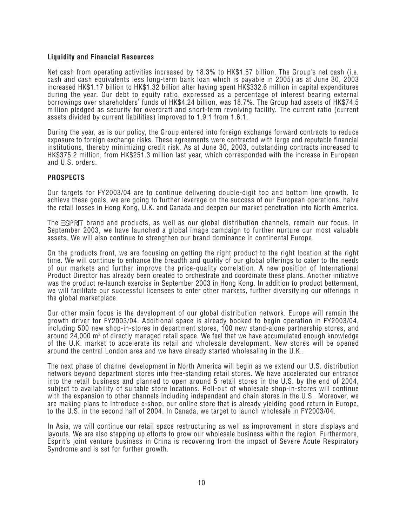# **Liquidity and Financial Resources**

Net cash from operating activities increased by 18.3% to HK\$1.57 billion. The Group's net cash (i.e. cash and cash equivalents less long-term bank loan which is payable in 2005) as at June 30, 2003 increased HK\$1.17 billion to HK\$1.32 billion after having spent HK\$332.6 million in capital expenditures during the year. Our debt to equity ratio, expressed as a percentage of interest bearing external borrowings over shareholders' funds of HK\$4.24 billion, was 18.7%. The Group had assets of HK\$74.5 million pledged as security for overdraft and short-term revolving facility. The current ratio (current assets divided by current liabilities) improved to 1.9:1 from 1.6:1.

During the year, as is our policy, the Group entered into foreign exchange forward contracts to reduce exposure to foreign exchange risks. These agreements were contracted with large and reputable financial institutions, thereby minimizing credit risk. As at June 30, 2003, outstanding contracts increased to HK\$375.2 million, from HK\$251.3 million last year, which corresponded with the increase in European and U.S. orders.

#### **PROSPECTS**

Our targets for FY2003/04 are to continue delivering double-digit top and bottom line growth. To achieve these goals, we are going to further leverage on the success of our European operations, halve the retail losses in Hong Kong, U.K. and Canada and deepen our market penetration into North America.

The ESPRIT brand and products, as well as our global distribution channels, remain our focus. In September 2003, we have launched a global image campaign to further nurture our most valuable assets. We will also continue to strengthen our brand dominance in continental Europe.

On the products front, we are focusing on getting the right product to the right location at the right time. We will continue to enhance the breadth and quality of our global offerings to cater to the needs of our markets and further improve the price-quality correlation. A new position of International Product Director has already been created to orchestrate and coordinate these plans. Another initiative was the product re-launch exercise in September 2003 in Hong Kong. In addition to product betterment, we will facilitate our successful licensees to enter other markets, further diversifying our offerings in the global marketplace.

Our other main focus is the development of our global distribution network. Europe will remain the growth driver for FY2003/04. Additional space is already booked to begin operation in FY2003/04, including 500 new shop-in-stores in department stores, 100 new stand-alone partnership stores, and around 24,000 m<sup>2</sup> of directly managed retail space. We feel that we have accumulated enough knowledge of the U.K. market to accelerate its retail and wholesale development. New stores will be opened around the central London area and we have already started wholesaling in the U.K..

The next phase of channel development in North America will begin as we extend our U.S. distribution network beyond department stores into free-standing retail stores. We have accelerated our entrance into the retail business and planned to open around 5 retail stores in the U.S. by the end of 2004, subject to availability of suitable store locations. Roll-out of wholesale shop-in-stores will continue with the expansion to other channels including independent and chain stores in the U.S.. Moreover, we are making plans to introduce e-shop, our online store that is already yielding good return in Europe, to the U.S. in the second half of 2004. In Canada, we target to launch wholesale in FY2003/04.

In Asia, we will continue our retail space restructuring as well as improvement in store displays and layouts. We are also stepping up efforts to grow our wholesale business within the region. Furthermore, Esprit's joint venture business in China is recovering from the impact of Severe Acute Respiratory Syndrome and is set for further growth.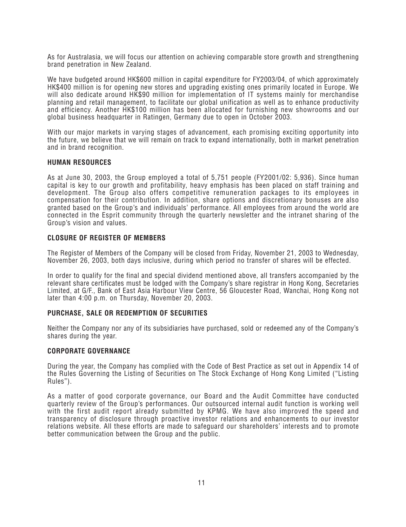As for Australasia, we will focus our attention on achieving comparable store growth and strengthening brand penetration in New Zealand.

We have budgeted around HK\$600 million in capital expenditure for FY2003/04, of which approximately HK\$400 million is for opening new stores and upgrading existing ones primarily located in Europe. We will also dedicate around HK\$90 million for implementation of IT systems mainly for merchandise planning and retail management, to facilitate our global unification as well as to enhance productivity and efficiency. Another HK\$100 million has been allocated for furnishing new showrooms and our global business headquarter in Ratingen, Germany due to open in October 2003.

With our major markets in varying stages of advancement, each promising exciting opportunity into the future, we believe that we will remain on track to expand internationally, both in market penetration and in brand recognition.

## **HUMAN RESOURCES**

As at June 30, 2003, the Group employed a total of 5,751 people (FY2001/02: 5,936). Since human capital is key to our growth and profitability, heavy emphasis has been placed on staff training and development. The Group also offers competitive remuneration packages to its employees in compensation for their contribution. In addition, share options and discretionary bonuses are also granted based on the Group's and individuals' performance. All employees from around the world are connected in the Esprit community through the quarterly newsletter and the intranet sharing of the Group's vision and values.

## **CLOSURE OF REGISTER OF MEMBERS**

The Register of Members of the Company will be closed from Friday, November 21, 2003 to Wednesday, November 26, 2003, both days inclusive, during which period no transfer of shares will be effected.

In order to qualify for the final and special dividend mentioned above, all transfers accompanied by the relevant share certificates must be lodged with the Company's share registrar in Hong Kong, Secretaries Limited, at G/F., Bank of East Asia Harbour View Centre, 56 Gloucester Road, Wanchai, Hong Kong not later than 4:00 p.m. on Thursday, November 20, 2003.

## **PURCHASE, SALE OR REDEMPTION OF SECURITIES**

Neither the Company nor any of its subsidiaries have purchased, sold or redeemed any of the Company's shares during the year.

## **CORPORATE GOVERNANCE**

During the year, the Company has complied with the Code of Best Practice as set out in Appendix 14 of the Rules Governing the Listing of Securities on The Stock Exchange of Hong Kong Limited ("Listing Rules").

As a matter of good corporate governance, our Board and the Audit Committee have conducted quarterly review of the Group's performances. Our outsourced internal audit function is working well with the first audit report already submitted by KPMG. We have also improved the speed and transparency of disclosure through proactive investor relations and enhancements to our investor relations website. All these efforts are made to safeguard our shareholders' interests and to promote better communication between the Group and the public.